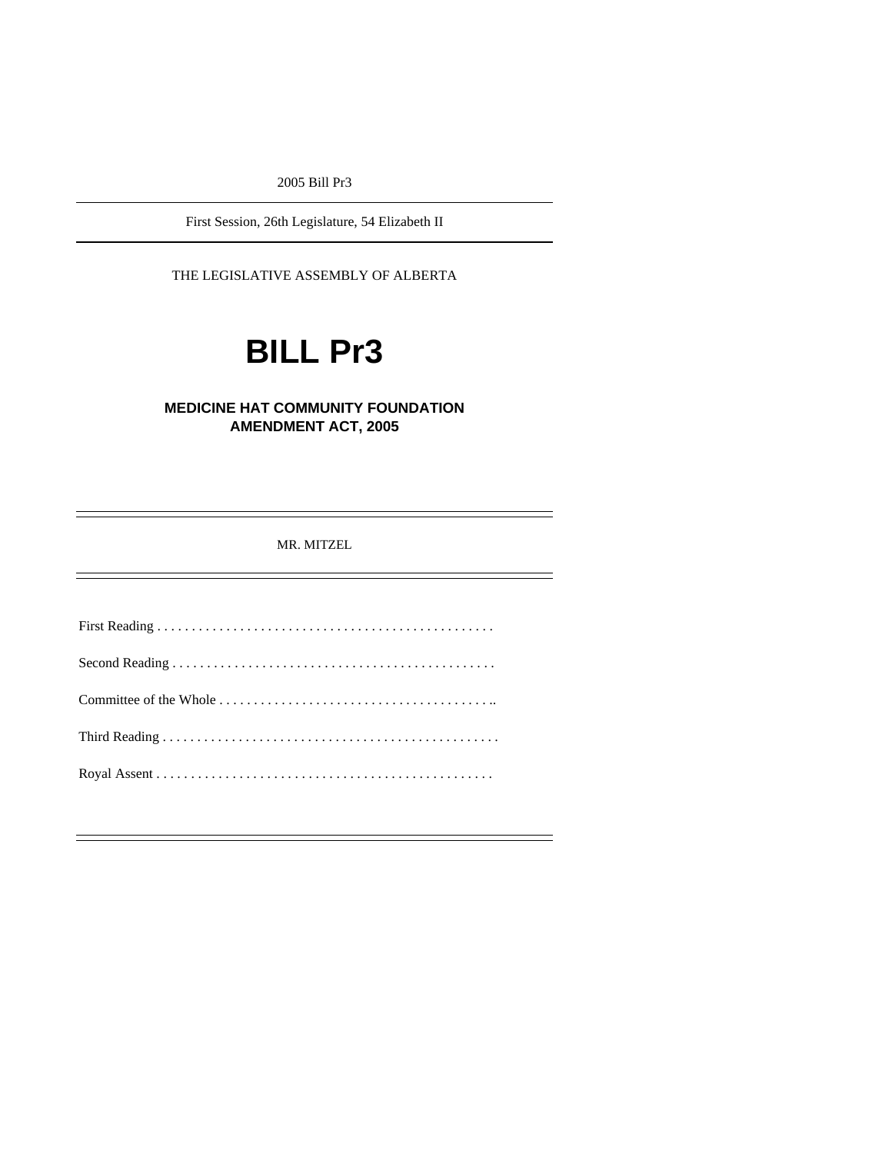2005 Bill Pr3

First Session, 26th Legislature, 54 Elizabeth II

THE LEGISLATIVE ASSEMBLY OF ALBERTA

# **BILL Pr3**

# **MEDICINE HAT COMMUNITY FOUNDATION AMENDMENT ACT, 2005**

MR. MITZEL

First Reading . . . . . . . . . . . . . . . . . . . . . . . . . . . . . . . . . . . . . . . . . . . . . . . . . Second Reading . . . . . . . . . . . . . . . . . . . . . . . . . . . . . . . . . . . . . . . . . . . . . . . Committee of the Whole . . . . . . . . . . . . . . . . . . . . . . . . . . . . . . . . . . . . . . . .. Third Reading . . . . . . . . . . . . . . . . . . . . . . . . . . . . . . . . . . . . . . . . . . . . . . . . . Royal Assent . . . . . . . . . . . . . . . . . . . . . . . . . . . . . . . . . . . . . . . . . . . . . . . . .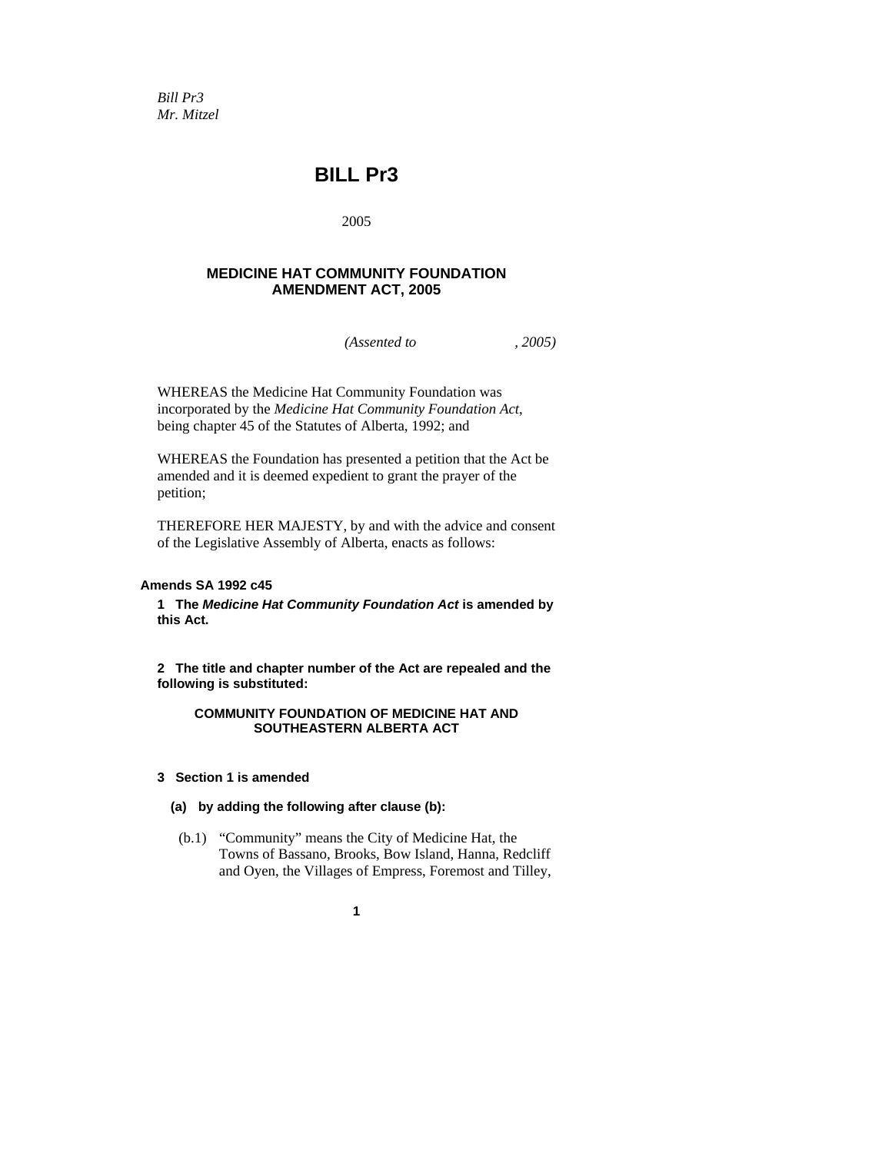*Bill Pr3 Mr. Mitzel* 

# **BILL Pr3**

2005

# **MEDICINE HAT COMMUNITY FOUNDATION AMENDMENT ACT, 2005**

*(Assented to , 2005)* 

WHEREAS the Medicine Hat Community Foundation was incorporated by the *Medicine Hat Community Foundation Act*, being chapter 45 of the Statutes of Alberta, 1992; and

WHEREAS the Foundation has presented a petition that the Act be amended and it is deemed expedient to grant the prayer of the petition;

THEREFORE HER MAJESTY, by and with the advice and consent of the Legislative Assembly of Alberta, enacts as follows:

# **Amends SA 1992 c45**

**1 The** *Medicine Hat Community Foundation Act* **is amended by this Act.** 

**2 The title and chapter number of the Act are repealed and the following is substituted:** 

## **COMMUNITY FOUNDATION OF MEDICINE HAT AND SOUTHEASTERN ALBERTA ACT**

- **3 Section 1 is amended** 
	- **(a) by adding the following after clause (b):**
	- (b.1) "Community" means the City of Medicine Hat, the Towns of Bassano, Brooks, Bow Island, Hanna, Redcliff and Oyen, the Villages of Empress, Foremost and Tilley,
		- **1**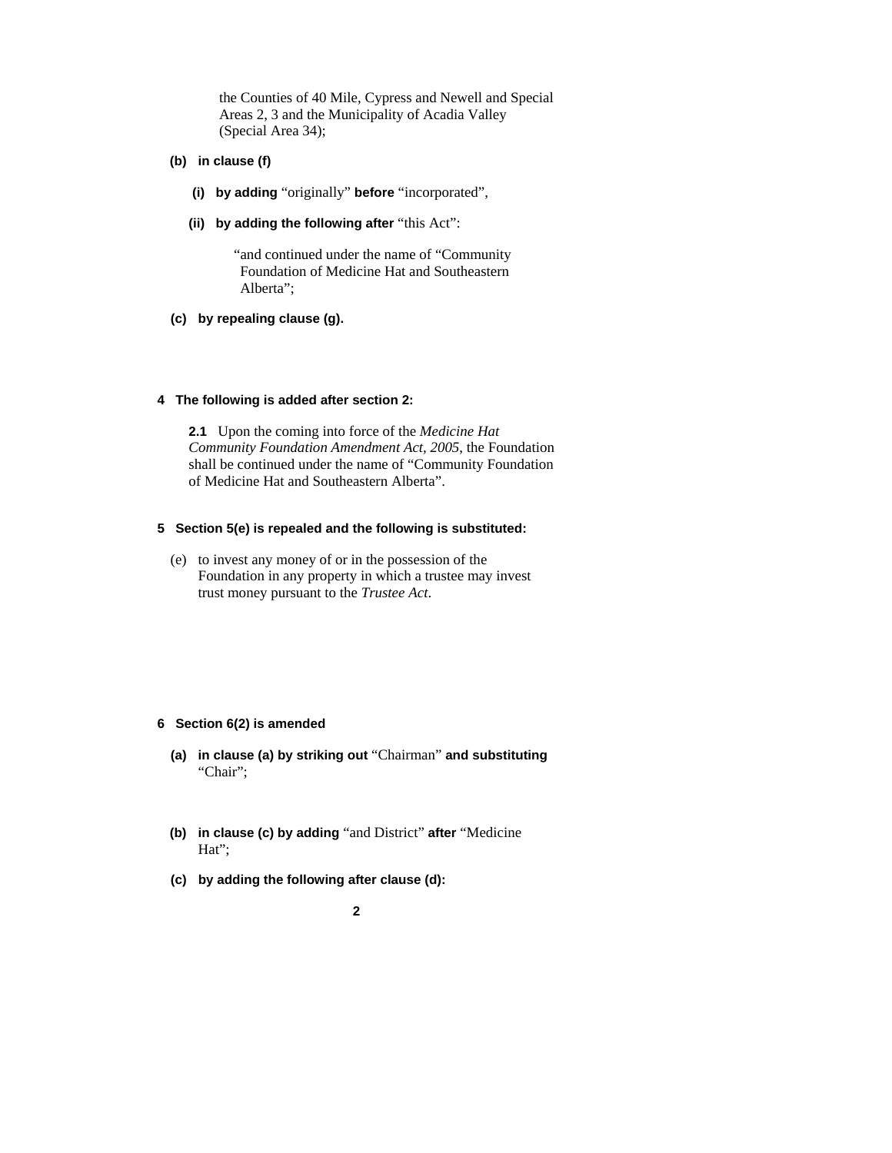the Counties of 40 Mile, Cypress and Newell and Special Areas 2, 3 and the Municipality of Acadia Valley (Special Area 34);

- **(b) in clause (f)** 
	- **(i) by adding** "originally" **before** "incorporated",
	- **(ii) by adding the following after** "this Act":

 "and continued under the name of "Community Foundation of Medicine Hat and Southeastern Alberta";

 **(c) by repealing clause (g).** 

#### **4 The following is added after section 2:**

**2.1** Upon the coming into force of the *Medicine Hat Community Foundation Amendment Act, 2005*, the Foundation shall be continued under the name of "Community Foundation of Medicine Hat and Southeastern Alberta".

# **5 Section 5(e) is repealed and the following is substituted:**

 (e) to invest any money of or in the possession of the Foundation in any property in which a trustee may invest trust money pursuant to the *Trustee Act*.

#### **6 Section 6(2) is amended**

- **(a) in clause (a) by striking out** "Chairman" **and substituting**  "Chair";
- **(b) in clause (c) by adding** "and District" **after** "Medicine Hat";
- **(c) by adding the following after clause (d):** 
	- **2**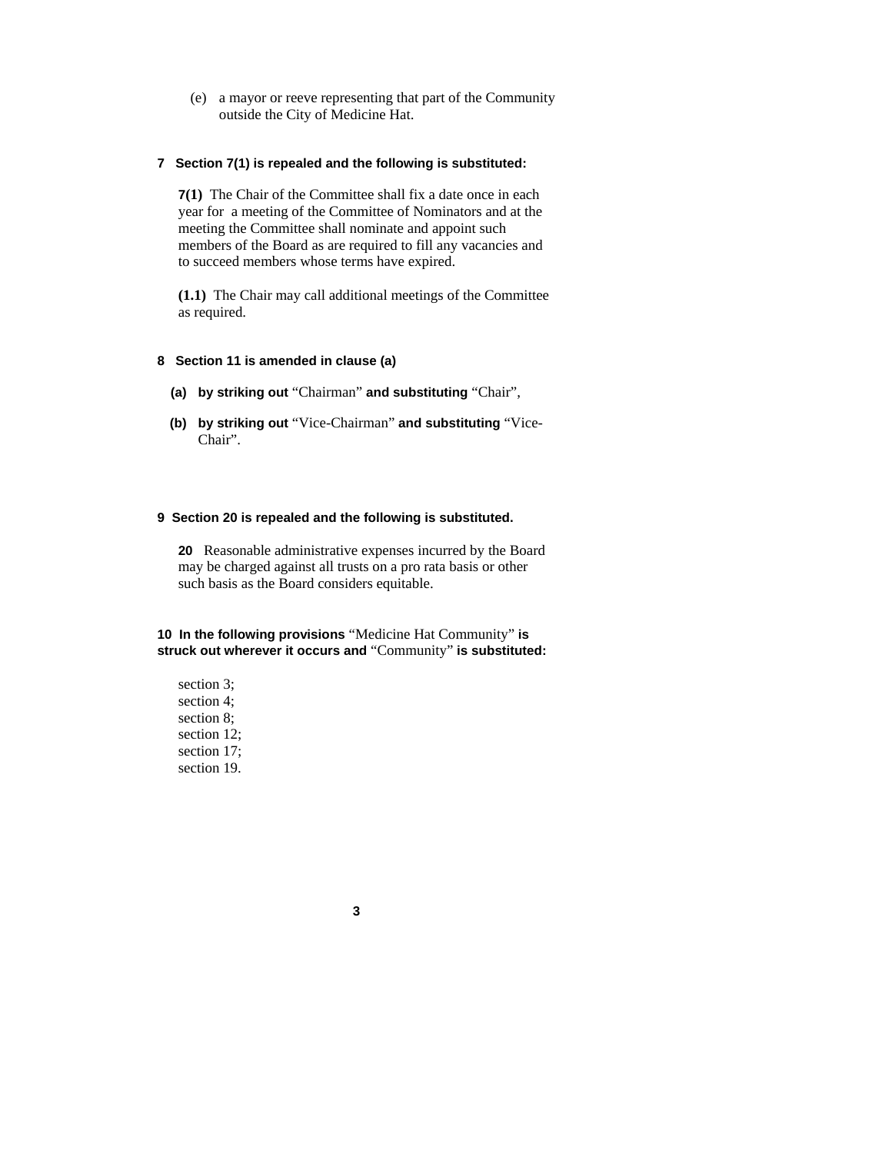(e) a mayor or reeve representing that part of the Community outside the City of Medicine Hat.

#### **7 Section 7(1) is repealed and the following is substituted:**

**7(1)** The Chair of the Committee shall fix a date once in each year for a meeting of the Committee of Nominators and at the meeting the Committee shall nominate and appoint such members of the Board as are required to fill any vacancies and to succeed members whose terms have expired.

**(1.1)** The Chair may call additional meetings of the Committee as required.

#### **8 Section 11 is amended in clause (a)**

- **(a) by striking out** "Chairman" **and substituting** "Chair",
- **(b) by striking out** "Vice-Chairman" **and substituting** "Vice-Chair".

#### **9 Section 20 is repealed and the following is substituted.**

**20** Reasonable administrative expenses incurred by the Board may be charged against all trusts on a pro rata basis or other such basis as the Board considers equitable.

**10 In the following provisions** "Medicine Hat Community" **is struck out wherever it occurs and** "Community" **is substituted:** 

section 3; section 4; section 8; section 12; section 17; section 19.

**3**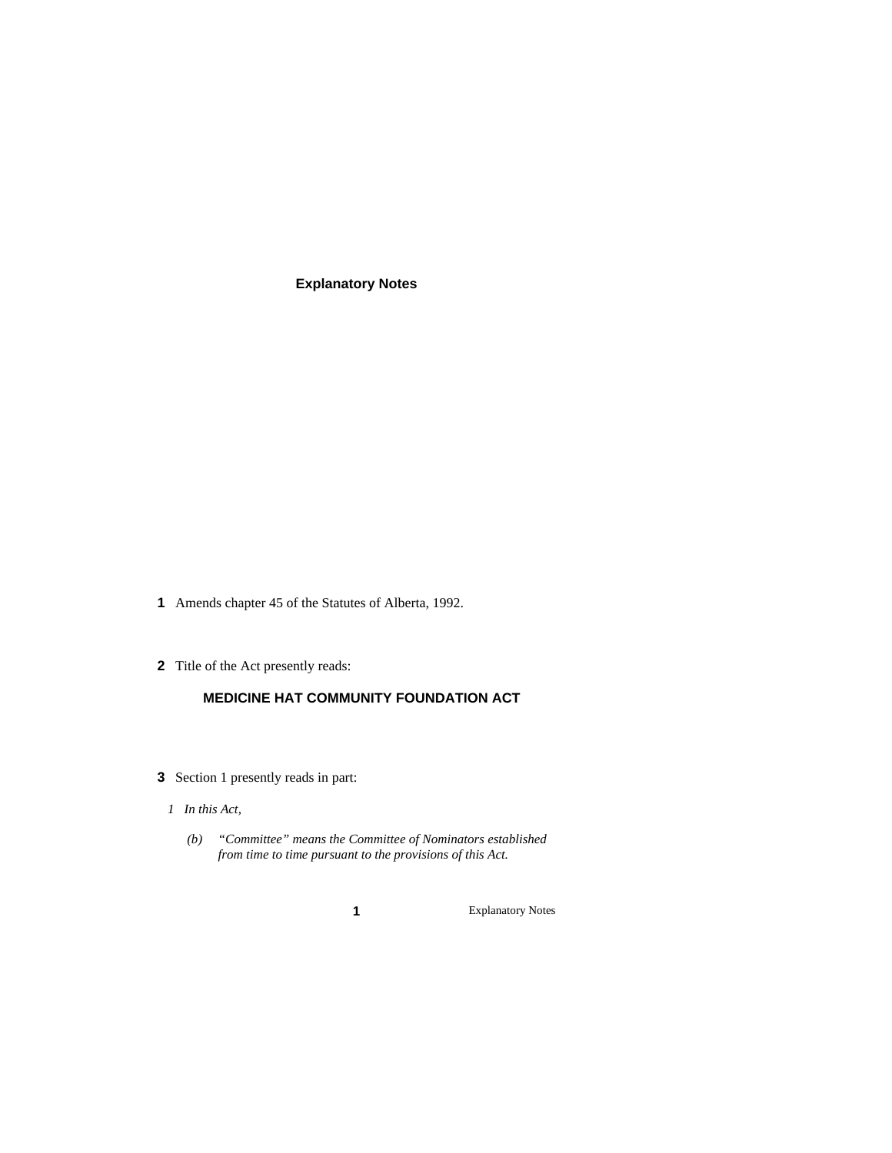**Explanatory Notes** 

- **1** Amends chapter 45 of the Statutes of Alberta, 1992.
- **2** Title of the Act presently reads:

# **MEDICINE HAT COMMUNITY FOUNDATION ACT**

- **3** Section 1 presently reads in part:
- *1 In this Act,* 
	- *(b) "Committee" means the Committee of Nominators established from time to time pursuant to the provisions of this Act.* 
		-

**1** Explanatory Notes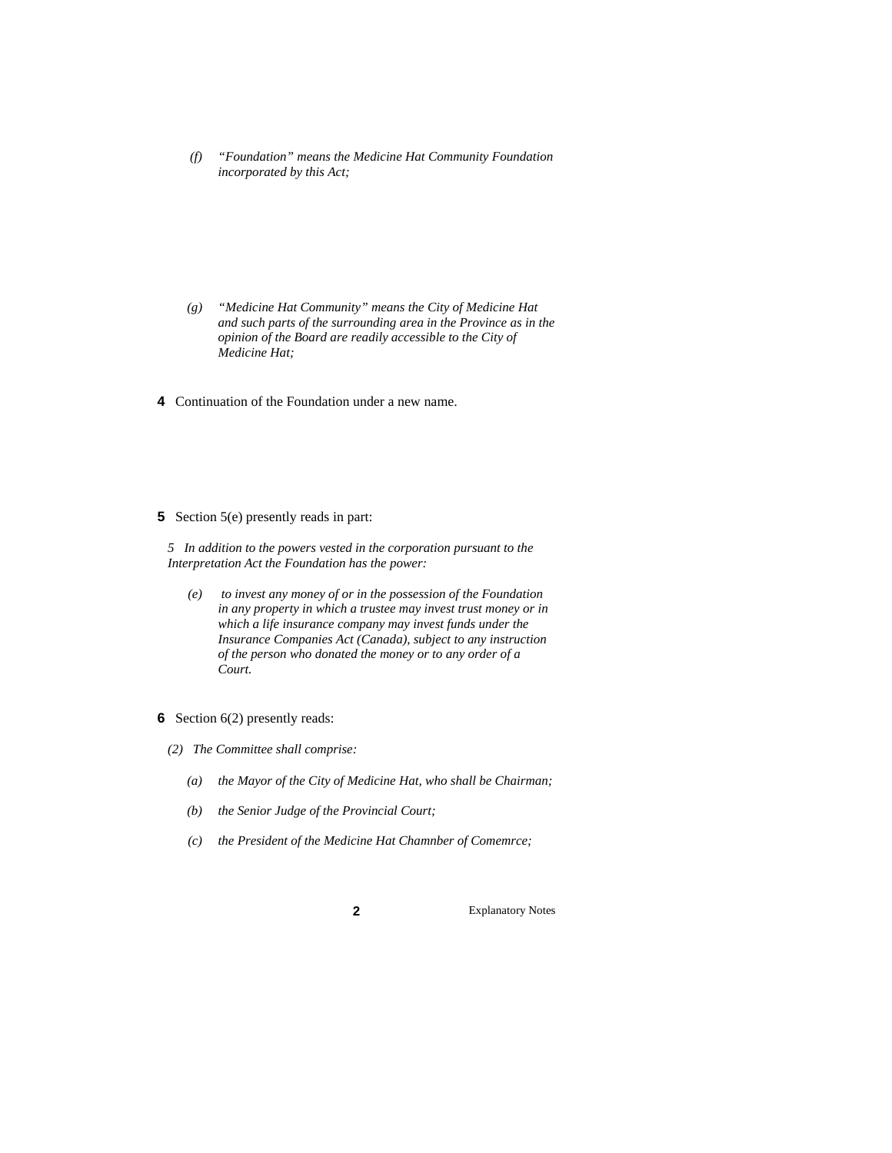*(f) "Foundation" means the Medicine Hat Community Foundation incorporated by this Act;* 

- *(g) "Medicine Hat Community" means the City of Medicine Hat and such parts of the surrounding area in the Province as in the opinion of the Board are readily accessible to the City of Medicine Hat;*
- **4** Continuation of the Foundation under a new name.
- **5** Section 5(e) presently reads in part:

*5 In addition to the powers vested in the corporation pursuant to the Interpretation Act the Foundation has the power:* 

- *(e) to invest any money of or in the possession of the Foundation in any property in which a trustee may invest trust money or in which a life insurance company may invest funds under the Insurance Companies Act (Canada), subject to any instruction of the person who donated the money or to any order of a Court.*
- **6** Section 6(2) presently reads:
- *(2) The Committee shall comprise:* 
	- *(a) the Mayor of the City of Medicine Hat, who shall be Chairman;*
	- *(b) the Senior Judge of the Provincial Court;*
	- *(c) the President of the Medicine Hat Chamnber of Comemrce;*

**2** Explanatory Notes